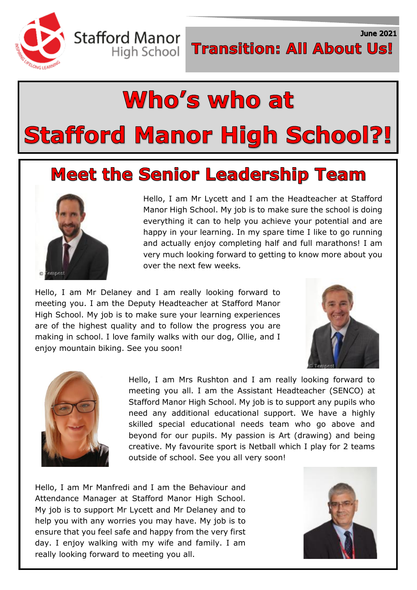

**June 2021** 

# Who's who at **Stafford Manor High School?!**

### **Meet the Senior Leadership Team**



Hello, I am Mr Lycett and I am the Headteacher at Stafford Manor High School. My job is to make sure the school is doing everything it can to help you achieve your potential and are happy in your learning. In my spare time I like to go running and actually enjoy completing half and full marathons! I am very much looking forward to getting to know more about you over the next few weeks*.*

Hello, I am Mr Delaney and I am really looking forward to meeting you. I am the Deputy Headteacher at Stafford Manor High School. My job is to make sure your learning experiences are of the highest quality and to follow the progress you are making in school. I love family walks with our dog, Ollie, and I enjoy mountain biking. See you soon!





Hello, I am Mrs Rushton and I am really looking forward to meeting you all. I am the Assistant Headteacher (SENCO) at Stafford Manor High School. My job is to support any pupils who need any additional educational support. We have a highly skilled special educational needs team who go above and beyond for our pupils. My passion is Art (drawing) and being creative. My favourite sport is Netball which I play for 2 teams outside of school. See you all very soon!

Hello, I am Mr Manfredi and I am the Behaviour and Attendance Manager at Stafford Manor High School. My job is to support Mr Lycett and Mr Delaney and to help you with any worries you may have. My job is to ensure that you feel safe and happy from the very first day. I enjoy walking with my wife and family. I am really looking forward to meeting you all.